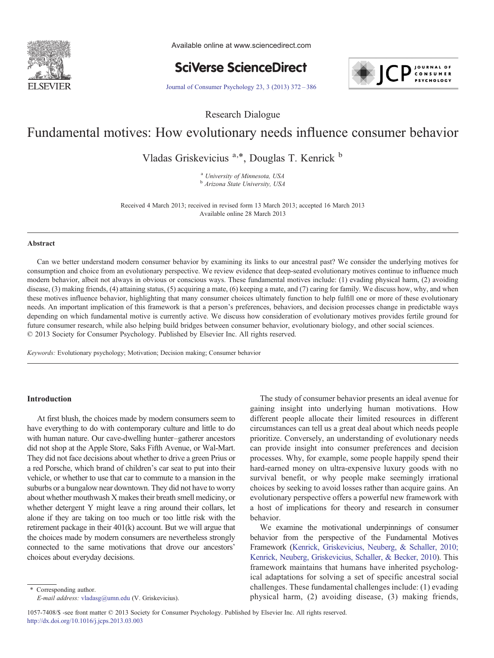

Available online at www.sciencedirect.com

**SciVerse ScienceDirect** 



[Journal of Consumer Psychology 23, 3 \(2013\) 372](http://dx.doi.org/10.1016/j.jcps.2013.03.003)–386

Research Dialogue

# Fundamental motives: How evolutionary needs influence consumer behavior

Vladas Griskevicius<sup>a,\*</sup>, Douglas T. Kenrick <sup>b</sup>

<sup>a</sup> University of Minnesota, USA <sup>b</sup> Arizona State University, USA

Received 4 March 2013; received in revised form 13 March 2013; accepted 16 March 2013 Available online 28 March 2013

#### Abstract

Can we better understand modern consumer behavior by examining its links to our ancestral past? We consider the underlying motives for consumption and choice from an evolutionary perspective. We review evidence that deep-seated evolutionary motives continue to influence much modern behavior, albeit not always in obvious or conscious ways. These fundamental motives include: (1) evading physical harm, (2) avoiding disease, (3) making friends, (4) attaining status, (5) acquiring a mate, (6) keeping a mate, and (7) caring for family. We discuss how, why, and when these motives influence behavior, highlighting that many consumer choices ultimately function to help fulfill one or more of these evolutionary needs. An important implication of this framework is that a person's preferences, behaviors, and decision processes change in predictable ways depending on which fundamental motive is currently active. We discuss how consideration of evolutionary motives provides fertile ground for future consumer research, while also helping build bridges between consumer behavior, evolutionary biology, and other social sciences. © 2013 Society for Consumer Psychology. Published by Elsevier Inc. All rights reserved.

Keywords: Evolutionary psychology; Motivation; Decision making; Consumer behavior

#### Introduction

At first blush, the choices made by modern consumers seem to have everything to do with contemporary culture and little to do with human nature. Our cave-dwelling hunter–gatherer ancestors did not shop at the Apple Store, Saks Fifth Avenue, or Wal-Mart. They did not face decisions about whether to drive a green Prius or a red Porsche, which brand of children's car seat to put into their vehicle, or whether to use that car to commute to a mansion in the suburbs or a bungalow near downtown. They did not have to worry about whether mouthwash X makes their breath smell mediciny, or whether detergent Y might leave a ring around their collars, let alone if they are taking on too much or too little risk with the retirement package in their 401(k) account. But we will argue that the choices made by modern consumers are nevertheless strongly connected to the same motivations that drove our ancestors' choices about everyday decisions.

⁎ Corresponding author. E-mail address: [vladasg@umn.edu](mailto:vladasg@umn.edu) (V. Griskevicius).

The study of consumer behavior presents an ideal avenue for gaining insight into underlying human motivations. How different people allocate their limited resources in different circumstances can tell us a great deal about which needs people prioritize. Conversely, an understanding of evolutionary needs can provide insight into consumer preferences and decision processes. Why, for example, some people happily spend their hard-earned money on ultra-expensive luxury goods with no survival benefit, or why people make seemingly irrational choices by seeking to avoid losses rather than acquire gains. An evolutionary perspective offers a powerful new framework with a host of implications for theory and research in consumer behavior.

We examine the motivational underpinnings of consumer behavior from the perspective of the Fundamental Motives Framework ([Kenrick, Griskevicius, Neuberg, & Schaller, 2010;](#page-12-0) [Kenrick, Neuberg, Griskevicius, Schaller, & Becker, 2010\)](#page-12-0). This framework maintains that humans have inherited psychological adaptations for solving a set of specific ancestral social challenges. These fundamental challenges include: (1) evading physical harm, (2) avoiding disease, (3) making friends,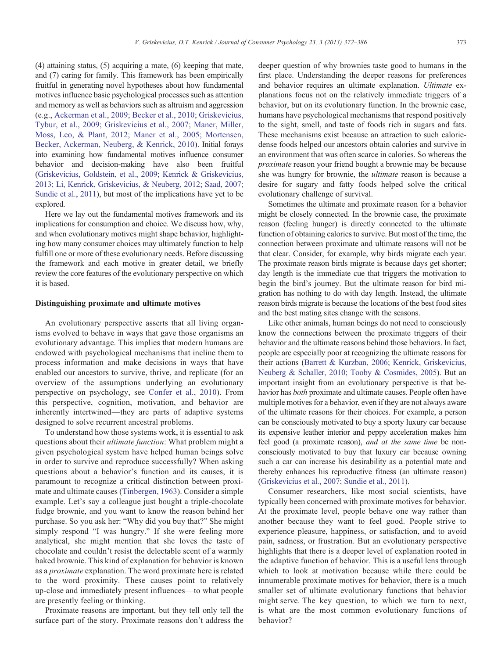(4) attaining status, (5) acquiring a mate, (6) keeping that mate, and (7) caring for family. This framework has been empirically fruitful in generating novel hypotheses about how fundamental motives influence basic psychological processes such as attention and memory as well as behaviors such as altruism and aggression (e.g., [Ackerman et al., 2009; Becker et al., 2010; Griskevicius,](#page-10-0) [Tybur, et al., 2009; Griskevicius et al., 2007; Maner, Miller,](#page-10-0) [Moss, Leo, & Plant, 2012; Maner et al., 2005; Mortensen,](#page-10-0) [Becker, Ackerman, Neuberg, & Kenrick, 2010\)](#page-10-0). Initial forays into examining how fundamental motives influence consumer behavior and decision-making have also been fruitful ([Griskevicius, Goldstein, et al., 2009; Kenrick & Griskevicius,](#page-12-0) [2013; Li, Kenrick, Griskevicius, & Neuberg, 2012; Saad, 2007;](#page-12-0) [Sundie et al., 2011](#page-12-0)), but most of the implications have yet to be explored.

Here we lay out the fundamental motives framework and its implications for consumption and choice. We discuss how, why, and when evolutionary motives might shape behavior, highlighting how many consumer choices may ultimately function to help fulfill one or more of these evolutionary needs. Before discussing the framework and each motive in greater detail, we briefly review the core features of the evolutionary perspective on which it is based.

#### Distinguishing proximate and ultimate motives

An evolutionary perspective asserts that all living organisms evolved to behave in ways that gave those organisms an evolutionary advantage. This implies that modern humans are endowed with psychological mechanisms that incline them to process information and make decisions in ways that have enabled our ancestors to survive, thrive, and replicate (for an overview of the assumptions underlying an evolutionary perspective on psychology, see [Confer et al., 2010](#page-11-0)). From this perspective, cognition, motivation, and behavior are inherently intertwined—they are parts of adaptive systems designed to solve recurrent ancestral problems.

To understand how those systems work, it is essential to ask questions about their *ultimate function*: What problem might a given psychological system have helped human beings solve in order to survive and reproduce successfully? When asking questions about a behavior's function and its causes, it is paramount to recognize a critical distinction between proximate and ultimate causes [\(Tinbergen, 1963\)](#page-14-0). Consider a simple example. Let's say a colleague just bought a triple-chocolate fudge brownie, and you want to know the reason behind her purchase. So you ask her: "Why did you buy that?" She might simply respond "I was hungry." If she were feeling more analytical, she might mention that she loves the taste of chocolate and couldn't resist the delectable scent of a warmly baked brownie. This kind of explanation for behavior is known as a proximate explanation. The word proximate here is related to the word proximity. These causes point to relatively up-close and immediately present influences—to what people are presently feeling or thinking.

Proximate reasons are important, but they tell only tell the surface part of the story. Proximate reasons don't address the

deeper question of why brownies taste good to humans in the first place. Understanding the deeper reasons for preferences and behavior requires an ultimate explanation. Ultimate explanations focus not on the relatively immediate triggers of a behavior, but on its evolutionary function. In the brownie case, humans have psychological mechanisms that respond positively to the sight, smell, and taste of foods rich in sugars and fats. These mechanisms exist because an attraction to such caloriedense foods helped our ancestors obtain calories and survive in an environment that was often scarce in calories. So whereas the proximate reason your friend bought a brownie may be because she was hungry for brownie, the ultimate reason is because a desire for sugary and fatty foods helped solve the critical evolutionary challenge of survival.

Sometimes the ultimate and proximate reason for a behavior might be closely connected. In the brownie case, the proximate reason (feeling hunger) is directly connected to the ultimate function of obtaining calories to survive. But most of the time, the connection between proximate and ultimate reasons will not be that clear. Consider, for example, why birds migrate each year. The proximate reason birds migrate is because days get shorter; day length is the immediate cue that triggers the motivation to begin the bird's journey. But the ultimate reason for bird migration has nothing to do with day length. Instead, the ultimate reason birds migrate is because the locations of the best food sites and the best mating sites change with the seasons.

Like other animals, human beings do not need to consciously know the connections between the proximate triggers of their behavior and the ultimate reasons behind those behaviors. In fact, people are especially poor at recognizing the ultimate reasons for their actions ([Barrett & Kurzban, 2006; Kenrick, Griskevicius,](#page-11-0) [Neuberg & Schaller, 2010; Tooby & Cosmides, 2005\)](#page-11-0). But an important insight from an evolutionary perspective is that behavior has both proximate and ultimate causes. People often have multiple motives for a behavior, even if they are not always aware of the ultimate reasons for their choices. For example, a person can be consciously motivated to buy a sporty luxury car because its expensive leather interior and peppy acceleration makes him feel good (a proximate reason), and at the same time be nonconsciously motivated to buy that luxury car because owning such a car can increase his desirability as a potential mate and thereby enhances his reproductive fitness (an ultimate reason) ([Griskevicius et al., 2007; Sundie et al., 2011](#page-12-0)).

Consumer researchers, like most social scientists, have typically been concerned with proximate motives for behavior. At the proximate level, people behave one way rather than another because they want to feel good. People strive to experience pleasure, happiness, or satisfaction, and to avoid pain, sadness, or frustration. But an evolutionary perspective highlights that there is a deeper level of explanation rooted in the adaptive function of behavior. This is a useful lens through which to look at motivation because while there could be innumerable proximate motives for behavior, there is a much smaller set of ultimate evolutionary functions that behavior might serve. The key question, to which we turn to next, is what are the most common evolutionary functions of behavior?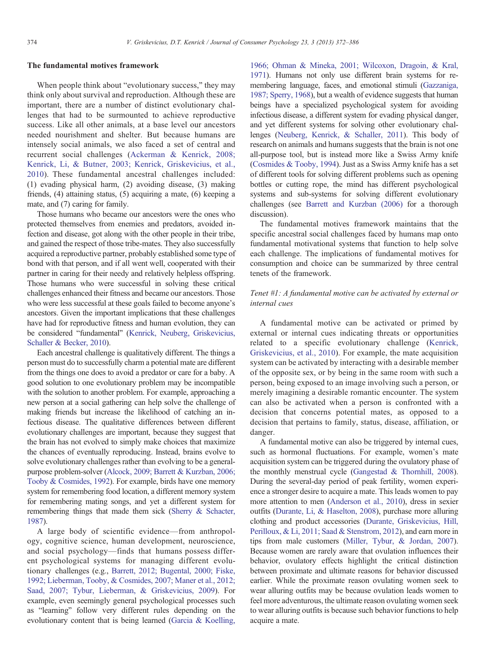#### The fundamental motives framework

When people think about "evolutionary success," they may think only about survival and reproduction. Although these are important, there are a number of distinct evolutionary challenges that had to be surmounted to achieve reproductive success. Like all other animals, at a base level our ancestors needed nourishment and shelter. But because humans are intensely social animals, we also faced a set of central and recurrent social challenges [\(Ackerman & Kenrick, 2008;](#page-11-0) [Kenrick, Li, & Butner, 2003; Kenrick, Griskevicius, et al.,](#page-11-0) [2010](#page-11-0)). These fundamental ancestral challenges included: (1) evading physical harm, (2) avoiding disease, (3) making friends, (4) attaining status, (5) acquiring a mate, (6) keeping a mate, and (7) caring for family.

Those humans who became our ancestors were the ones who protected themselves from enemies and predators, avoided infection and disease, got along with the other people in their tribe, and gained the respect of those tribe-mates. They also successfully acquired a reproductive partner, probably established some type of bond with that person, and if all went well, cooperated with their partner in caring for their needy and relatively helpless offspring. Those humans who were successful in solving these critical challenges enhanced their fitness and became our ancestors. Those who were less successful at these goals failed to become anyone's ancestors. Given the important implications that these challenges have had for reproductive fitness and human evolution, they can be considered "fundamental" ([Kenrick, Neuberg, Griskevicius,](#page-12-0) [Schaller & Becker, 2010](#page-12-0)).

Each ancestral challenge is qualitatively different. The things a person must do to successfully charm a potential mate are different from the things one does to avoid a predator or care for a baby. A good solution to one evolutionary problem may be incompatible with the solution to another problem. For example, approaching a new person at a social gathering can help solve the challenge of making friends but increase the likelihood of catching an infectious disease. The qualitative differences between different evolutionary challenges are important, because they suggest that the brain has not evolved to simply make choices that maximize the chances of eventually reproducing. Instead, brains evolve to solve evolutionary challenges rather than evolving to be a generalpurpose problem-solver [\(Alcock, 2009; Barrett & Kurzban, 2006;](#page-11-0) [Tooby & Cosmides, 1992](#page-11-0)). For example, birds have one memory system for remembering food location, a different memory system for remembering mating songs, and yet a different system for remembering things that made them sick ([Sherry & Schacter,](#page-13-0) [1987](#page-13-0)).

A large body of scientific evidence—from anthropology, cognitive science, human development, neuroscience, and social psychology—finds that humans possess different psychological systems for managing different evolutionary challenges (e.g., [Barrett, 2012; Bugental, 2000; Fiske,](#page-11-0) [1992; Lieberman, Tooby, & Cosmides, 2007; Maner et al., 2012;](#page-11-0) [Saad, 2007; Tybur, Lieberman, & Griskevicius, 2009](#page-11-0)). For example, even seemingly general psychological processes such as "learning" follow very different rules depending on the evolutionary content that is being learned ([Garcia & Koelling,](#page-11-0) [1966; Ohman & Mineka, 2001; Wilcoxon, Dragoin, & Kral,](#page-11-0) [1971](#page-11-0)). Humans not only use different brain systems for remembering language, faces, and emotional stimuli [\(Gazzaniga,](#page-12-0) [1987; Sperry, 1968\)](#page-12-0), but a wealth of evidence suggests that human beings have a specialized psychological system for avoiding infectious disease, a different system for evading physical danger, and yet different systems for solving other evolutionary challenges ([Neuberg, Kenrick, & Schaller, 2011](#page-13-0)). This body of research on animals and humans suggests that the brain is not one all-purpose tool, but is instead more like a Swiss Army knife ([Cosmides & Tooby, 1994](#page-11-0)). Just as a Swiss Army knife has a set of different tools for solving different problems such as opening bottles or cutting rope, the mind has different psychological systems and sub-systems for solving different evolutionary challenges (see [Barrett and Kurzban \(2006\)](#page-11-0) for a thorough discussion).

The fundamental motives framework maintains that the specific ancestral social challenges faced by humans map onto fundamental motivational systems that function to help solve each challenge. The implications of fundamental motives for consumption and choice can be summarized by three central tenets of the framework.

# Tenet #1: A fundamental motive can be activated by external or internal cues

A fundamental motive can be activated or primed by external or internal cues indicating threats or opportunities related to a specific evolutionary challenge ([Kenrick,](#page-12-0) [Griskevicius, et al., 2010\)](#page-12-0). For example, the mate acquisition system can be activated by interacting with a desirable member of the opposite sex, or by being in the same room with such a person, being exposed to an image involving such a person, or merely imagining a desirable romantic encounter. The system can also be activated when a person is confronted with a decision that concerns potential mates, as opposed to a decision that pertains to family, status, disease, affiliation, or danger.

A fundamental motive can also be triggered by internal cues, such as hormonal fluctuations. For example, women's mate acquisition system can be triggered during the ovulatory phase of the monthly menstrual cycle [\(Gangestad & Thornhill, 2008](#page-11-0)). During the several-day period of peak fertility, women experience a stronger desire to acquire a mate. This leads women to pay more attention to men [\(Anderson et al., 2010](#page-11-0)), dress in sexier outfits [\(Durante, Li, & Haselton, 2008](#page-11-0)), purchase more alluring clothing and product accessories ([Durante, Griskevicius, Hill,](#page-11-0) [Perilloux, & Li, 2011; Saad & Stenstrom, 2012](#page-11-0)), and earn more in tips from male customers [\(Miller, Tybur, & Jordan, 2007](#page-13-0)). Because women are rarely aware that ovulation influences their behavior, ovulatory effects highlight the critical distinction between proximate and ultimate reasons for behavior discussed earlier. While the proximate reason ovulating women seek to wear alluring outfits may be because ovulation leads women to feel more adventurous, the ultimate reason ovulating women seek to wear alluring outfits is because such behavior functions to help acquire a mate.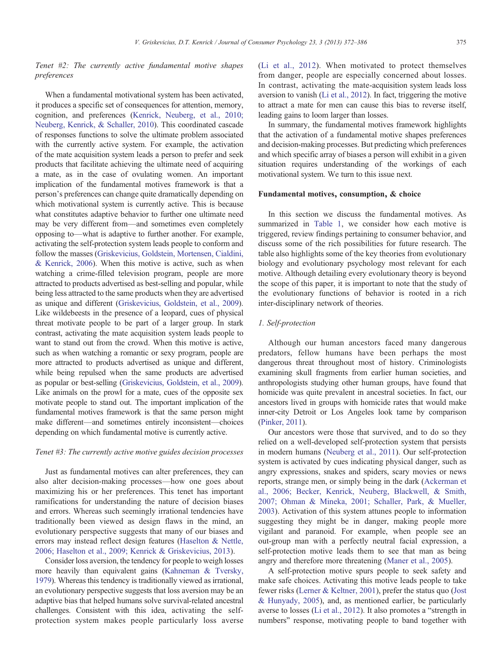Tenet #2: The currently active fundamental motive shapes preferences

When a fundamental motivational system has been activated, it produces a specific set of consequences for attention, memory, cognition, and preferences [\(Kenrick, Neuberg, et al., 2010;](#page-12-0) [Neuberg, Kenrick, & Schaller, 2010\)](#page-12-0). This coordinated cascade of responses functions to solve the ultimate problem associated with the currently active system. For example, the activation of the mate acquisition system leads a person to prefer and seek products that facilitate achieving the ultimate need of acquiring a mate, as in the case of ovulating women. An important implication of the fundamental motives framework is that a person's preferences can change quite dramatically depending on which motivational system is currently active. This is because what constitutes adaptive behavior to further one ultimate need may be very different from—and sometimes even completely opposing to—what is adaptive to further another. For example, activating the self-protection system leads people to conform and follow the masses [\(Griskevicius, Goldstein, Mortensen, Cialdini,](#page-12-0) [& Kenrick, 2006\)](#page-12-0). When this motive is active, such as when watching a crime-filled television program, people are more attracted to products advertised as best-selling and popular, while being less attracted to the same products when they are advertised as unique and different ([Griskevicius, Goldstein, et al., 2009\)](#page-12-0). Like wildebeests in the presence of a leopard, cues of physical threat motivate people to be part of a larger group. In stark contrast, activating the mate acquisition system leads people to want to stand out from the crowd. When this motive is active, such as when watching a romantic or sexy program, people are more attracted to products advertised as unique and different, while being repulsed when the same products are advertised as popular or best-selling [\(Griskevicius, Goldstein, et al., 2009\)](#page-12-0). Like animals on the prowl for a mate, cues of the opposite sex motivate people to stand out. The important implication of the fundamental motives framework is that the same person might make different—and sometimes entirely inconsistent—choices depending on which fundamental motive is currently active.

#### Tenet #3: The currently active motive guides decision processes

Just as fundamental motives can alter preferences, they can also alter decision-making processes—how one goes about maximizing his or her preferences. This tenet has important ramifications for understanding the nature of decision biases and errors. Whereas such seemingly irrational tendencies have traditionally been viewed as design flaws in the mind, an evolutionary perspective suggests that many of our biases and errors may instead reflect design features [\(Haselton & Nettle,](#page-12-0) [2006; Haselton et al., 2009; Kenrick & Griskevicius, 2013\)](#page-12-0).

Consider loss aversion, the tendency for people to weigh losses more heavily than equivalent gains ([Kahneman & Tversky,](#page-12-0) [1979](#page-12-0)). Whereas this tendency is traditionally viewed as irrational, an evolutionary perspective suggests that loss aversion may be an adaptive bias that helped humans solve survival-related ancestral challenges. Consistent with this idea, activating the selfprotection system makes people particularly loss averse

([Li et al., 2012](#page-12-0)). When motivated to protect themselves from danger, people are especially concerned about losses. In contrast, activating the mate-acquisition system leads loss aversion to vanish [\(Li et al., 2012\)](#page-12-0). In fact, triggering the motive to attract a mate for men can cause this bias to reverse itself, leading gains to loom larger than losses.

In summary, the fundamental motives framework highlights that the activation of a fundamental motive shapes preferences and decision-making processes. But predicting which preferences and which specific array of biases a person will exhibit in a given situation requires understanding of the workings of each motivational system. We turn to this issue next.

#### Fundamental motives, consumption, & choice

In this section we discuss the fundamental motives. As summarized in [Table 1,](#page-4-0) we consider how each motive is triggered, review findings pertaining to consumer behavior, and discuss some of the rich possibilities for future research. The table also highlights some of the key theories from evolutionary biology and evolutionary psychology most relevant for each motive. Although detailing every evolutionary theory is beyond the scope of this paper, it is important to note that the study of the evolutionary functions of behavior is rooted in a rich inter-disciplinary network of theories.

## 1. Self-protection

Although our human ancestors faced many dangerous predators, fellow humans have been perhaps the most dangerous threat throughout most of history. Criminologists examining skull fragments from earlier human societies, and anthropologists studying other human groups, have found that homicide was quite prevalent in ancestral societies. In fact, our ancestors lived in groups with homicide rates that would make inner-city Detroit or Los Angeles look tame by comparison ([Pinker, 2011\)](#page-13-0).

Our ancestors were those that survived, and to do so they relied on a well-developed self-protection system that persists in modern humans ([Neuberg et al., 2011](#page-13-0)). Our self-protection system is activated by cues indicating physical danger, such as angry expressions, snakes and spiders, scary movies or news reports, strange men, or simply being in the dark ([Ackerman et](#page-11-0) [al., 2006; Becker, Kenrick, Neuberg, Blackwell, & Smith,](#page-11-0) [2007; Ohman & Mineka, 2001; Schaller, Park, & Mueller,](#page-11-0) [2003](#page-11-0)). Activation of this system attunes people to information suggesting they might be in danger, making people more vigilant and paranoid. For example, when people see an out-group man with a perfectly neutral facial expression, a self-protection motive leads them to see that man as being angry and therefore more threatening ([Maner et al., 2005\)](#page-13-0).

A self-protection motive spurs people to seek safety and make safe choices. Activating this motive leads people to take fewer risks [\(Lerner & Keltner, 2001](#page-12-0)), prefer the status quo [\(Jost](#page-12-0) [& Hunyady, 2005\)](#page-12-0), and, as mentioned earlier, be particularly averse to losses ([Li et al., 2012](#page-12-0)). It also promotes a "strength in numbers" response, motivating people to band together with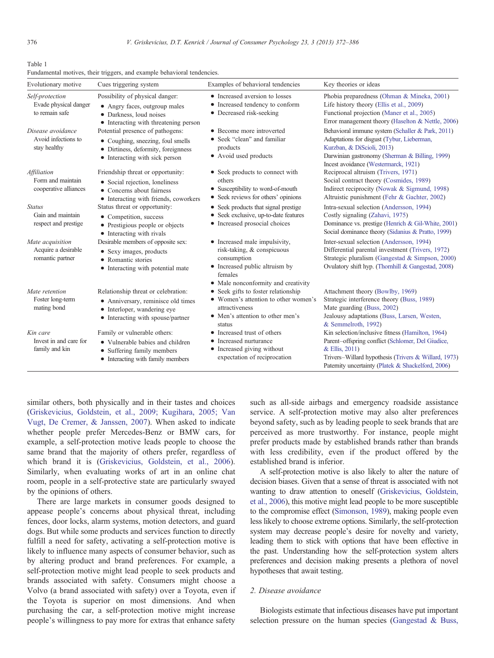<span id="page-4-0"></span>

Fundamental motives, their triggers, and example behavioral tendencies.

| Evolutionary motive                                              | Cues triggering system                                                                                                                         | Examples of behavioral tendencies                                                                                                                              | Key theories or ideas                                                                                                                                                                                                                 |
|------------------------------------------------------------------|------------------------------------------------------------------------------------------------------------------------------------------------|----------------------------------------------------------------------------------------------------------------------------------------------------------------|---------------------------------------------------------------------------------------------------------------------------------------------------------------------------------------------------------------------------------------|
| Self-protection<br>Evade physical danger<br>to remain safe       | Possibility of physical danger:<br>• Angry faces, outgroup males<br>• Darkness, loud noises<br>• Interacting with threatening person           | • Increased aversion to losses<br>• Increased tendency to conform<br>• Decreased risk-seeking                                                                  | Phobia preparedness (Ohman & Mineka, 2001)<br>Life history theory (Ellis et al., 2009)<br>Functional projection (Maner et al., 2005)<br>Error management theory (Haselton & Nettle, 2006)                                             |
| Disease avoidance<br>Avoid infections to<br>stay healthy         | Potential presence of pathogens:<br>• Coughing, sneezing, foul smells<br>• Dirtiness, deformity, foreignness<br>• Interacting with sick person | • Become more introverted<br>• Seek "clean" and familiar<br>products<br>• Avoid used products                                                                  | Behavioral immune system (Schaller & Park, 2011)<br>Adaptations for disgust (Tybur, Lieberman,<br>Kurzban, & DiScioli, 2013)<br>Darwinian gastronomy (Sherman & Billing, 1999)<br>Incest avoidance (Westermarck, 1921)                |
| <i>Affiliation</i><br>Form and maintain<br>cooperative alliances | Friendship threat or opportunity:<br>• Social rejection, loneliness<br>• Concerns about fairness<br>• Interacting with friends, coworkers      | • Seek products to connect with<br>others<br>• Susceptibility to word-of-mouth<br>• Seek reviews for others' opinions                                          | Reciprocal altruism (Trivers, 1971)<br>Social contract theory (Cosmides, 1989)<br>Indirect reciprocity (Nowak & Sigmund, 1998)<br>Altruistic punishment (Fehr & Gachter, 2002)                                                        |
| <b>Status</b><br>Gain and maintain<br>respect and prestige       | Status threat or opportunity:<br>• Competition, success<br>• Prestigious people or objects<br>• Interacting with rivals                        | • Seek products that signal prestige<br>• Seek exclusive, up-to-date features<br>• Increased prosocial choices                                                 | Intra-sexual selection (Andersson, 1994)<br>Costly signaling (Zahavi, 1975)<br>Dominance vs. prestige (Henrich & Gil-White, 2001)<br>Social dominance theory (Sidanius & Pratto, 1999)                                                |
| Mate acquisition<br>Acquire a desirable<br>romantic partner      | Desirable members of opposite sex:<br>• Sexy images, products<br>• Romantic stories<br>• Interacting with potential mate                       | • Increased male impulsivity,<br>risk-taking, & conspicuous<br>consumption<br>• Increased public altruism by<br>females<br>• Male nonconformity and creativity | Inter-sexual selection (Andersson, 1994)<br>Differential parental investment (Trivers, 1972)<br>Strategic pluralism (Gangestad & Simpson, 2000)<br>Ovulatory shift hyp. (Thornhill & Gangestad, 2008)                                 |
| Mate retention<br>Foster long-term<br>mating bond                | Relationship threat or celebration:<br>• Anniversary, reminisce old times<br>• Interloper, wandering eye<br>• Interacting with spouse/partner  | • Seek gifts to foster relationship<br>• Women's attention to other women's<br>attractiveness<br>• Men's attention to other men's<br>status                    | Attachment theory (Bowlby, 1969)<br>Strategic interference theory (Buss, 1989)<br>Mate guarding (Buss, 2002)<br>Jealousy adaptations (Buss, Larsen, Westen,<br>& Semmelroth, 1992)                                                    |
| Kin care<br>Invest in and care for<br>family and kin             | Family or vulnerable others:<br>• Vulnerable babies and children<br>• Suffering family members<br>• Interacting with family members            | • Increased trust of others<br>• Increased nurturance<br>• Increased giving without<br>expectation of reciprocation                                            | Kin selection/inclusive fitness (Hamilton, 1964)<br>Parent-offspring conflict (Schlomer, Del Giudice,<br>& Ellis, 2011)<br>Trivers-Willard hypothesis (Trivers & Willard, 1973)<br>Paternity uncertainty (Platek & Shackelford, 2006) |

similar others, both physically and in their tastes and choices ([Griskevicius, Goldstein, et al., 2009; Kugihara, 2005; Van](#page-12-0) [Vugt, De Cremer, & Janssen, 2007\)](#page-12-0). When asked to indicate whether people prefer Mercedes-Benz or BMW cars, for example, a self-protection motive leads people to choose the same brand that the majority of others prefer, regardless of which brand it is [\(Griskevicius, Goldstein, et al., 2006](#page-12-0)). Similarly, when evaluating works of art in an online chat room, people in a self-protective state are particularly swayed by the opinions of others.

There are large markets in consumer goods designed to appease people's concerns about physical threat, including fences, door locks, alarm systems, motion detectors, and guard dogs. But while some products and services function to directly fulfill a need for safety, activating a self-protection motive is likely to influence many aspects of consumer behavior, such as by altering product and brand preferences. For example, a self-protection motive might lead people to seek products and brands associated with safety. Consumers might choose a Volvo (a brand associated with safety) over a Toyota, even if the Toyota is superior on most dimensions. And when purchasing the car, a self-protection motive might increase people's willingness to pay more for extras that enhance safety such as all-side airbags and emergency roadside assistance service. A self-protection motive may also alter preferences beyond safety, such as by leading people to seek brands that are perceived as more trustworthy. For instance, people might prefer products made by established brands rather than brands with less credibility, even if the product offered by the established brand is inferior.

A self-protection motive is also likely to alter the nature of decision biases. Given that a sense of threat is associated with not wanting to draw attention to oneself [\(Griskevicius, Goldstein,](#page-12-0) [et al., 2006\)](#page-12-0), this motive might lead people to be more susceptible to the compromise effect ([Simonson, 1989](#page-13-0)), making people even less likely to choose extreme options. Similarly, the self-protection system may decrease people's desire for novelty and variety, leading them to stick with options that have been effective in the past. Understanding how the self-protection system alters preferences and decision making presents a plethora of novel hypotheses that await testing.

## 2. Disease avoidance

Biologists estimate that infectious diseases have put important selection pressure on the human species ([Gangestad & Buss,](#page-11-0)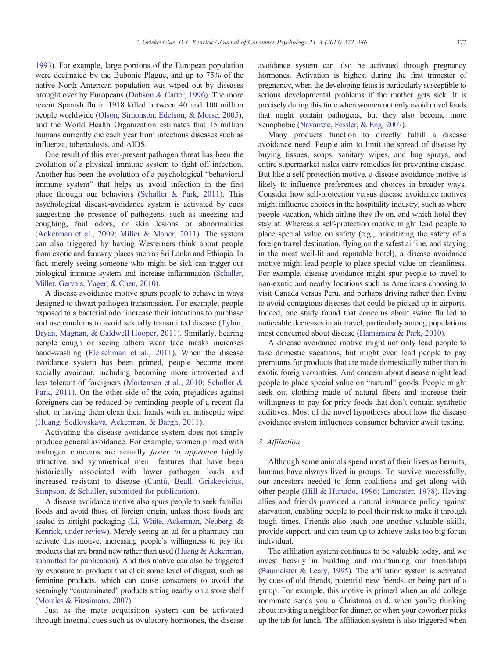[1993](#page-11-0)). For example, large portions of the European population were decimated by the Bubonic Plague, and up to 75% of the native North American population was wiped out by diseases brought over by Europeans [\(Dobson & Carter, 1996](#page-11-0)). The more recent Spanish flu in 1918 killed between 40 and 100 million people worldwide ([Olson, Simonson, Edelson, & Morse, 2005\)](#page-13-0), and the World Health Organization estimates that 15 million humans currently die each year from infectious diseases such as influenza, tuberculosis, and AIDS.

One result of this ever-present pathogen threat has been the evolution of a physical immune system to fight off infection. Another has been the evolution of a psychological "behavioral immune system" that helps us avoid infection in the first place through our behaviors [\(Schaller & Park, 2011](#page-13-0)). This psychological disease-avoidance system is activated by cues suggesting the presence of pathogens, such as sneezing and coughing, foul odors, or skin lesions or abnormalities ([Ackerman et al., 2009; Miller & Maner, 2011](#page-10-0)). The system can also triggered by having Westerners think about people from exotic and faraway places such as Sri Lanka and Ethiopia. In fact, merely seeing someone who might be sick can trigger our biological immune system and increase inflammation [\(Schaller,](#page-13-0) [Miller, Gervais, Yager, & Chen, 2010\)](#page-13-0).

A disease avoidance motive spurs people to behave in ways designed to thwart pathogen transmission. For example, people exposed to a bacterial odor increase their intentions to purchase and use condoms to avoid sexually transmitted disease ([Tybur,](#page-14-0) [Bryan, Magnan, & Caldwell Hooper, 2011\)](#page-14-0). Similarly, hearing people cough or seeing others wear face masks increases hand-washing ([Fleischman et al., 2011](#page-11-0)). When the disease avoidance system has been primed, people become more socially avoidant, including becoming more introverted and less tolerant of foreigners [\(Mortensen et al., 2010; Schaller &](#page-13-0) [Park, 2011\)](#page-13-0). On the other side of the coin, prejudices against foreigners can be reduced by reminding people of a recent flu shot, or having them clean their hands with an antiseptic wipe ([Huang, Sedlovskaya, Ackerman, & Bargh, 2011](#page-12-0)).

Activating the disease avoidance system does not simply produce general avoidance. For example, women primed with pathogen concerns are actually faster to approach highly attractive and symmetrical men—features that have been historically associated with lower pathogen loads and increased resistant to disease ([Cantú, Beall, Griskevicius,](#page-11-0) [Simpson, & Schaller, submitted for publication\)](#page-11-0).

A disease avoidance motive also spurs people to seek familiar foods and avoid those of foreign origin, unless those foods are sealed in airtight packaging [\(Li, White, Ackerman, Neuberg, &](#page-12-0) [Kenrick, under review\)](#page-12-0). Merely seeing an ad for a pharmacy can activate this motive, increasing people's willingness to pay for products that are brand new rather than used [\(Huang & Ackerman,](#page-12-0) [submitted for publication](#page-12-0)). And this motive can also be triggered by exposure to products that elicit some level of disgust, such as feminine products, which can cause consumers to avoid the seemingly "contaminated" products sitting nearby on a store shelf ([Morales & Fitzsimons, 2007\)](#page-13-0).

Just as the mate acquisition system can be activated through internal cues such as ovulatory hormones, the disease avoidance system can also be activated through pregnancy hormones. Activation is highest during the first trimester of pregnancy, when the developing fetus is particularly susceptible to serious developmental problems if the mother gets sick. It is precisely during this time when women not only avoid novel foods that might contain pathogens, but they also become more xenophobic ([Navarrete, Fessler, & Eng, 2007\)](#page-13-0).

Many products function to directly fulfill a disease avoidance need. People aim to limit the spread of disease by buying tissues, soaps, sanitary wipes, and bug sprays, and entire supermarket aisles carry remedies for preventing disease. But like a self-protection motive, a disease avoidance motive is likely to influence preferences and choices in broader ways. Consider how self-protection versus disease avoidance motives might influence choices in the hospitality industry, such as where people vacation, which airline they fly on, and which hotel they stay at. Whereas a self-protection motive might lead people to place special value on safety (e.g., prioritizing the safety of a foreign travel destination, flying on the safest airline, and staying in the most well-lit and reputable hotel), a disease avoidance motive might lead people to place special value on cleanliness. For example, disease avoidance might spur people to travel to non-exotic and nearby locations such as Americans choosing to visit Canada versus Peru, and perhaps driving rather than flying to avoid contagious diseases that could be picked up in airports. Indeed, one study found that concerns about swine flu led to noticeable decreases in air travel, particularly among populations most concerned about disease ([Hamamura & Park, 2010](#page-12-0)).

A disease avoidance motive might not only lead people to take domestic vacations, but might even lead people to pay premiums for products that are made domestically rather than in exotic foreign countries. And concern about disease might lead people to place special value on "natural" goods. People might seek out clothing made of natural fibers and increase their willingness to pay for pricy foods that don't contain synthetic additives. Most of the novel hypotheses about how the disease avoidance system influences consumer behavior await testing.

#### 3. Affiliation

Although some animals spend most of their lives as hermits, humans have always lived in groups. To survive successfully, our ancestors needed to form coalitions and get along with other people ([Hill & Hurtado, 1996; Lancaster, 1978\)](#page-12-0). Having allies and friends provided a natural insurance policy against starvation, enabling people to pool their risk to make it through tough times. Friends also teach one another valuable skills, provide support, and can team up to achieve tasks too big for an individual.

The affiliation system continues to be valuable today, and we invest heavily in building and maintaining our friendships ([Baumeister & Leary, 1995](#page-11-0)). The affiliation system is activated by cues of old friends, potential new friends, or being part of a group. For example, this motive is primed when an old college roommate sends you a Christmas card, when you're thinking about inviting a neighbor for dinner, or when your coworker picks up the tab for lunch. The affiliation system is also triggered when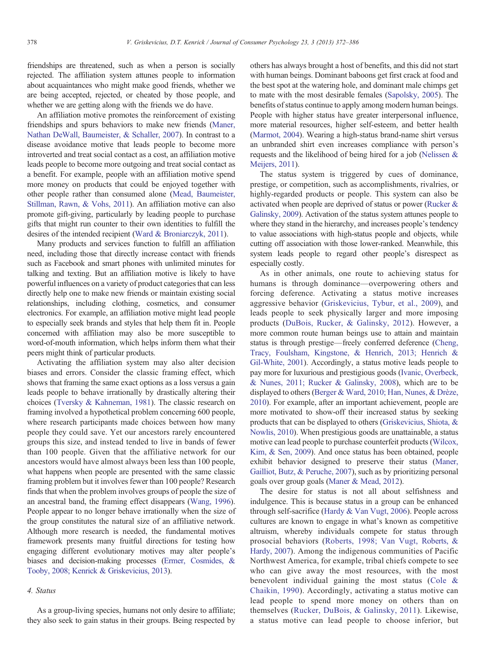friendships are threatened, such as when a person is socially rejected. The affiliation system attunes people to information about acquaintances who might make good friends, whether we are being accepted, rejected, or cheated by those people, and whether we are getting along with the friends we do have.

An affiliation motive promotes the reinforcement of existing friendships and spurs behaviors to make new friends [\(Maner,](#page-13-0) [Nathan DeWall, Baumeister, & Schaller, 2007\)](#page-13-0). In contrast to a disease avoidance motive that leads people to become more introverted and treat social contact as a cost, an affiliation motive leads people to become more outgoing and treat social contact as a benefit. For example, people with an affiliation motive spend more money on products that could be enjoyed together with other people rather than consumed alone [\(Mead, Baumeister,](#page-13-0) [Stillman, Rawn, & Vohs, 2011](#page-13-0)). An affiliation motive can also promote gift-giving, particularly by leading people to purchase gifts that might run counter to their own identities to fulfill the desires of the intended recipient ([Ward & Broniarczyk, 2011\)](#page-14-0).

Many products and services function to fulfill an affiliation need, including those that directly increase contact with friends such as Facebook and smart phones with unlimited minutes for talking and texting. But an affiliation motive is likely to have powerful influences on a variety of product categories that can less directly help one to make new friends or maintain existing social relationships, including clothing, cosmetics, and consumer electronics. For example, an affiliation motive might lead people to especially seek brands and styles that help them fit in. People concerned with affiliation may also be more susceptible to word-of-mouth information, which helps inform them what their peers might think of particular products.

Activating the affiliation system may also alter decision biases and errors. Consider the classic framing effect, which shows that framing the same exact options as a loss versus a gain leads people to behave irrationally by drastically altering their choices [\(Tversky & Kahneman, 1981](#page-14-0)). The classic research on framing involved a hypothetical problem concerning 600 people, where research participants made choices between how many people they could save. Yet our ancestors rarely encountered groups this size, and instead tended to live in bands of fewer than 100 people. Given that the affiliative network for our ancestors would have almost always been less than 100 people, what happens when people are presented with the same classic framing problem but it involves fewer than 100 people? Research finds that when the problem involves groups of people the size of an ancestral band, the framing effect disappears [\(Wang, 1996](#page-14-0)). People appear to no longer behave irrationally when the size of the group constitutes the natural size of an affiliative network. Although more research is needed, the fundamental motives framework presents many fruitful directions for testing how engaging different evolutionary motives may alter people's biases and decision-making processes ([Ermer, Cosmides, &](#page-11-0) [Tooby, 2008; Kenrick & Griskevicius, 2013\)](#page-11-0).

#### 4. Status

As a group-living species, humans not only desire to affiliate; they also seek to gain status in their groups. Being respected by others has always brought a host of benefits, and this did not start with human beings. Dominant baboons get first crack at food and the best spot at the watering hole, and dominant male chimps get to mate with the most desirable females [\(Sapolsky, 2005\)](#page-13-0). The benefits of status continue to apply among modern human beings. People with higher status have greater interpersonal influence, more material resources, higher self-esteem, and better health ([Marmot, 2004](#page-13-0)). Wearing a high-status brand-name shirt versus an unbranded shirt even increases compliance with person's requests and the likelihood of being hired for a job ([Nelissen &](#page-13-0) [Meijers, 2011\)](#page-13-0).

The status system is triggered by cues of dominance, prestige, or competition, such as accomplishments, rivalries, or highly-regarded products or people. This system can also be activated when people are deprived of status or power [\(Rucker &](#page-13-0) [Galinsky, 2009](#page-13-0)). Activation of the status system attunes people to where they stand in the hierarchy, and increases people's tendency to value associations with high-status people and objects, while cutting off association with those lower-ranked. Meanwhile, this system leads people to regard other people's disrespect as especially costly.

As in other animals, one route to achieving status for humans is through dominance—overpowering others and forcing deference. Activating a status motive increases aggressive behavior [\(Griskevicius, Tybur, et al., 2009](#page-12-0)), and leads people to seek physically larger and more imposing products [\(DuBois, Rucker, & Galinsky, 2012](#page-11-0)). However, a more common route human beings use to attain and maintain status is through prestige—freely conferred deference ([Cheng,](#page-11-0) [Tracy, Foulsham, Kingstone, & Henrich, 2013; Henrich &](#page-11-0) [Gil-White, 2001](#page-11-0)). Accordingly, a status motive leads people to pay more for luxurious and prestigious goods ([Ivanic, Overbeck,](#page-12-0) [& Nunes, 2011; Rucker & Galinsky, 2008\)](#page-12-0), which are to be displayed to others [\(Berger & Ward, 2010; Han, Nunes, & Drèze,](#page-11-0) [2010](#page-11-0)). For example, after an important achievement, people are more motivated to show-off their increased status by seeking products that can be displayed to others ([Griskevicius, Shiota, &](#page-12-0) [Nowlis, 2010](#page-12-0)). When prestigious goods are unattainable, a status motive can lead people to purchase counterfeit products ([Wilcox,](#page-14-0) [Kim, & Sen, 2009](#page-14-0)). And once status has been obtained, people exhibit behavior designed to preserve their status ([Maner,](#page-13-0) [Gailliot, Butz, & Peruche, 2007](#page-13-0)), such as by prioritizing personal goals over group goals [\(Maner & Mead, 2012\)](#page-13-0).

The desire for status is not all about selfishness and indulgence. This is because status in a group can be enhanced through self-sacrifice ([Hardy & Van Vugt, 2006](#page-12-0)). People across cultures are known to engage in what's known as competitive altruism, whereby individuals compete for status through prosocial behaviors ([Roberts, 1998; Van Vugt, Roberts, &](#page-13-0) [Hardy, 2007](#page-13-0)). Among the indigenous communities of Pacific Northwest America, for example, tribal chiefs compete to see who can give away the most resources, with the most benevolent individual gaining the most status ([Cole &](#page-11-0) [Chaikin, 1990](#page-11-0)). Accordingly, activating a status motive can lead people to spend more money on others than on themselves [\(Rucker, DuBois, & Galinsky, 2011](#page-13-0)). Likewise, a status motive can lead people to choose inferior, but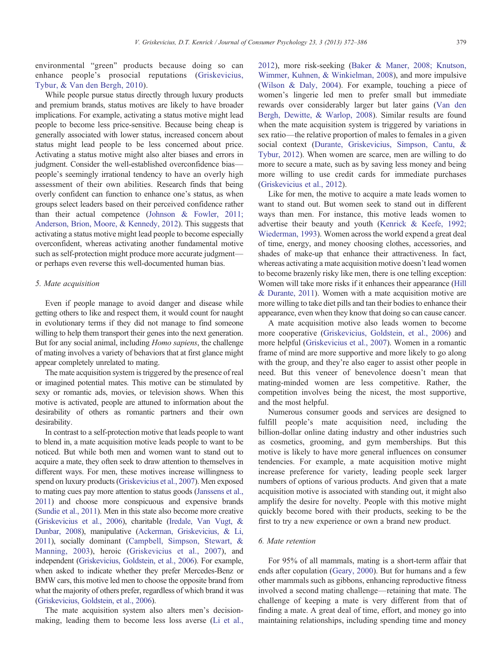environmental "green" products because doing so can enhance people's prosocial reputations ([Griskevicius,](#page-12-0) [Tybur, & Van den Bergh, 2010\)](#page-12-0).

While people pursue status directly through luxury products and premium brands, status motives are likely to have broader implications. For example, activating a status motive might lead people to become less price-sensitive. Because being cheap is generally associated with lower status, increased concern about status might lead people to be less concerned about price. Activating a status motive might also alter biases and errors in judgment. Consider the well-established overconfidence biaspeople's seemingly irrational tendency to have an overly high assessment of their own abilities. Research finds that being overly confident can function to enhance one's status, as when groups select leaders based on their perceived confidence rather than their actual competence [\(Johnson & Fowler, 2011;](#page-12-0) [Anderson, Brion, Moore, & Kennedy, 2012\)](#page-12-0). This suggests that activating a status motive might lead people to become especially overconfident, whereas activating another fundamental motive such as self-protection might produce more accurate judgment or perhaps even reverse this well-documented human bias.

#### 5. Mate acquisition

Even if people manage to avoid danger and disease while getting others to like and respect them, it would count for naught in evolutionary terms if they did not manage to find someone willing to help them transport their genes into the next generation. But for any social animal, including Homo sapiens, the challenge of mating involves a variety of behaviors that at first glance might appear completely unrelated to mating.

The mate acquisition system is triggered by the presence of real or imagined potential mates. This motive can be stimulated by sexy or romantic ads, movies, or television shows. When this motive is activated, people are attuned to information about the desirability of others as romantic partners and their own desirability.

In contrast to a self-protection motive that leads people to want to blend in, a mate acquisition motive leads people to want to be noticed. But while both men and women want to stand out to acquire a mate, they often seek to draw attention to themselves in different ways. For men, these motives increase willingness to spend on luxury products [\(Griskevicius et al., 2007\)](#page-12-0). Men exposed to mating cues pay more attention to status goods [\(Janssens et al.,](#page-12-0) [2011\)](#page-12-0) and choose more conspicuous and expensive brands ([Sundie et al., 2011](#page-13-0)). Men in this state also become more creative ([Griskevicius et al., 2006\)](#page-12-0), charitable [\(Iredale, Van Vugt, &](#page-12-0) [Dunbar, 2008](#page-12-0)), manipulative ([Ackerman, Griskevicius, & Li,](#page-11-0) [2011\)](#page-11-0), socially dominant [\(Campbell, Simpson, Stewart, &](#page-11-0) [Manning, 2003\)](#page-11-0), heroic [\(Griskevicius et al., 2007](#page-12-0)), and independent [\(Griskevicius, Goldstein, et al., 2006](#page-12-0)). For example, when asked to indicate whether they prefer Mercedes-Benz or BMW cars, this motive led men to choose the opposite brand from what the majority of others prefer, regardless of which brand it was ([Griskevicius, Goldstein, et al., 2006\)](#page-12-0).

The mate acquisition system also alters men's decisionmaking, leading them to become less loss averse ([Li et al.,](#page-12-0) [2012](#page-12-0)), more risk-seeking ([Baker & Maner, 2008; Knutson,](#page-11-0) [Wimmer, Kuhnen, & Winkielman, 2008](#page-11-0)), and more impulsive ([Wilson & Daly, 2004](#page-14-0)). For example, touching a piece of women's lingerie led men to prefer small but immediate rewards over considerably larger but later gains [\(Van den](#page-14-0) [Bergh, Dewitte, & Warlop, 2008](#page-14-0)). Similar results are found when the mate acquisition system is triggered by variations in sex ratio—the relative proportion of males to females in a given social context [\(Durante, Griskevicius, Simpson, Cantu, &](#page-11-0) [Tybur, 2012](#page-11-0)). When women are scarce, men are willing to do more to secure a mate, such as by saving less money and being more willing to use credit cards for immediate purchases ([Griskevicius et al., 2012\)](#page-12-0).

Like for men, the motive to acquire a mate leads women to want to stand out. But women seek to stand out in different ways than men. For instance, this motive leads women to advertise their beauty and youth [\(Kenrick & Keefe, 1992;](#page-12-0) [Wiederman, 1993](#page-12-0)). Women across the world expend a great deal of time, energy, and money choosing clothes, accessories, and shades of make-up that enhance their attractiveness. In fact, whereas activating a mate acquisition motive doesn't lead women to become brazenly risky like men, there is one telling exception: Women will take more risks if it enhances their appearance ([Hill](#page-12-0) [& Durante, 2011\)](#page-12-0). Women with a mate acquisition motive are more willing to take diet pills and tan their bodies to enhance their appearance, even when they know that doing so can cause cancer.

A mate acquisition motive also leads women to become more cooperative [\(Griskevicius, Goldstein, et al., 2006\)](#page-12-0) and more helpful ([Griskevicius et al., 2007\)](#page-12-0). Women in a romantic frame of mind are more supportive and more likely to go along with the group, and they're also eager to assist other people in need. But this veneer of benevolence doesn't mean that mating-minded women are less competitive. Rather, the competition involves being the nicest, the most supportive, and the most helpful.

Numerous consumer goods and services are designed to fulfill people's mate acquisition need, including the billion-dollar online dating industry and other industries such as cosmetics, grooming, and gym memberships. But this motive is likely to have more general influences on consumer tendencies. For example, a mate acquisition motive might increase preference for variety, leading people seek larger numbers of options of various products. And given that a mate acquisition motive is associated with standing out, it might also amplify the desire for novelty. People with this motive might quickly become bored with their products, seeking to be the first to try a new experience or own a brand new product.

#### 6. Mate retention

For 95% of all mammals, mating is a short-term affair that ends after copulation ([Geary, 2000](#page-12-0)). But for humans and a few other mammals such as gibbons, enhancing reproductive fitness involved a second mating challenge—retaining that mate. The challenge of keeping a mate is very different from that of finding a mate. A great deal of time, effort, and money go into maintaining relationships, including spending time and money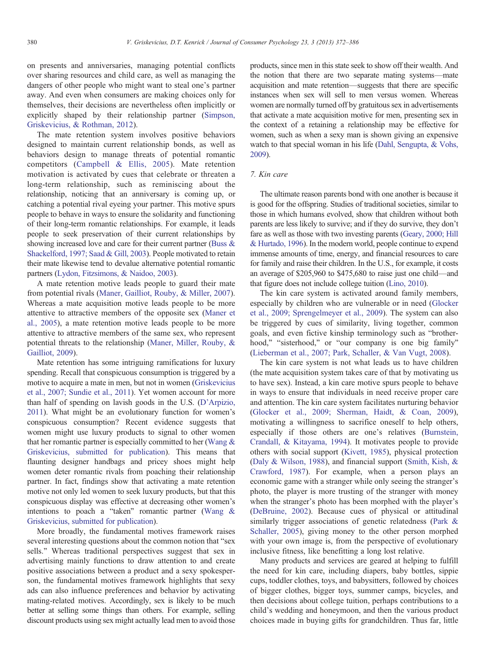on presents and anniversaries, managing potential conflicts over sharing resources and child care, as well as managing the dangers of other people who might want to steal one's partner away. And even when consumers are making choices only for themselves, their decisions are nevertheless often implicitly or explicitly shaped by their relationship partner ([Simpson,](#page-13-0) [Griskevicius, & Rothman, 2012\)](#page-13-0).

The mate retention system involves positive behaviors designed to maintain current relationship bonds, as well as behaviors design to manage threats of potential romantic competitors [\(Campbell & Ellis, 2005](#page-11-0)). Mate retention motivation is activated by cues that celebrate or threaten a long-term relationship, such as reminiscing about the relationship, noticing that an anniversary is coming up, or catching a potential rival eyeing your partner. This motive spurs people to behave in ways to ensure the solidarity and functioning of their long-term romantic relationships. For example, it leads people to seek preservation of their current relationships by showing increased love and care for their current partner ([Buss &](#page-11-0) [Shackelford, 1997; Saad & Gill, 2003](#page-11-0)). People motivated to retain their mate likewise tend to devalue alternative potential romantic partners [\(Lydon, Fitzsimons, & Naidoo, 2003](#page-13-0)).

A mate retention motive leads people to guard their mate from potential rivals ([Maner, Gailliot, Rouby, & Miller, 2007](#page-13-0)). Whereas a mate acquisition motive leads people to be more attentive to attractive members of the opposite sex [\(Maner et](#page-13-0) [al., 2005](#page-13-0)), a mate retention motive leads people to be more attentive to attractive members of the same sex, who represent potential threats to the relationship ([Maner, Miller, Rouby, &](#page-13-0) [Gailliot, 2009](#page-13-0)).

Mate retention has some intriguing ramifications for luxury spending. Recall that conspicuous consumption is triggered by a motive to acquire a mate in men, but not in women ([Griskevicius](#page-12-0) [et al., 2007; Sundie et al., 2011](#page-12-0)). Yet women account for more than half of spending on lavish goods in the U.S. ([D'Arpizio,](#page-11-0) [2011](#page-11-0)). What might be an evolutionary function for women's conspicuous consumption? Recent evidence suggests that women might use luxury products to signal to other women that her romantic partner is especially committed to her [\(Wang &](#page-14-0) [Griskevicius, submitted for publication](#page-14-0)). This means that flaunting designer handbags and pricey shoes might help women deter romantic rivals from poaching their relationship partner. In fact, findings show that activating a mate retention motive not only led women to seek luxury products, but that this conspicuous display was effective at decreasing other women's intentions to poach a "taken" romantic partner [\(Wang &](#page-14-0) [Griskevicius, submitted for publication\)](#page-14-0).

More broadly, the fundamental motives framework raises several interesting questions about the common notion that "sex sells." Whereas traditional perspectives suggest that sex in advertising mainly functions to draw attention to and create positive associations between a product and a sexy spokesperson, the fundamental motives framework highlights that sexy ads can also influence preferences and behavior by activating mating-related motives. Accordingly, sex is likely to be much better at selling some things than others. For example, selling discount products using sex might actually lead men to avoid those products, since men in this state seek to show off their wealth. And the notion that there are two separate mating systems—mate acquisition and mate retention—suggests that there are specific instances when sex will sell to men versus women. Whereas women are normally turned off by gratuitous sex in advertisements that activate a mate acquisition motive for men, presenting sex in the context of a retaining a relationship may be effective for women, such as when a sexy man is shown giving an expensive watch to that special woman in his life ([Dahl, Sengupta, & Vohs,](#page-11-0) [2009\)](#page-11-0).

#### 7. Kin care

The ultimate reason parents bond with one another is because it is good for the offspring. Studies of traditional societies, similar to those in which humans evolved, show that children without both parents are less likely to survive; and if they do survive, they don't fare as well as those with two investing parents [\(Geary, 2000; Hill](#page-12-0) [& Hurtado, 1996\)](#page-12-0). In the modern world, people continue to expend immense amounts of time, energy, and financial resources to care for family and raise their children. In the U.S., for example, it costs an average of \$205,960 to \$475,680 to raise just one child—and that figure does not include college tuition [\(Lino, 2010](#page-13-0)).

The kin care system is activated around family members, especially by children who are vulnerable or in need ([Glocker](#page-12-0) [et al., 2009; Sprengelmeyer et al., 2009\)](#page-12-0). The system can also be triggered by cues of similarity, living together, common goals, and even fictive kinship terminology such as "brotherhood," "sisterhood," or "our company is one big family" ([Lieberman et al., 2007; Park, Schaller, & Van Vugt, 2008](#page-13-0)).

The kin care system is not what leads us to have children (the mate acquisition system takes care of that by motivating us to have sex). Instead, a kin care motive spurs people to behave in ways to ensure that individuals in need receive proper care and attention. The kin care system facilitates nurturing behavior ([Glocker et al., 2009; Sherman, Haidt, & Coan, 2009](#page-12-0)), motivating a willingness to sacrifice oneself to help others, especially if those others are one's relatives ([Burnstein,](#page-11-0) [Crandall, & Kitayama, 1994\)](#page-11-0). It motivates people to provide others with social support [\(Kivett, 1985](#page-12-0)), physical protection ([Daly & Wilson, 1988](#page-11-0)), and financial support ([Smith, Kish, &](#page-13-0) [Crawford, 1987\)](#page-13-0). For example, when a person plays an economic game with a stranger while only seeing the stranger's photo, the player is more trusting of the stranger with money when the stranger's photo has been morphed with the player's ([DeBruine, 2002\)](#page-11-0). Because cues of physical or attitudinal similarly trigger associations of genetic relatedness [\(Park &](#page-13-0) [Schaller, 2005\)](#page-13-0), giving money to the other person morphed with your own image is, from the perspective of evolutionary inclusive fitness, like benefitting a long lost relative.

Many products and services are geared at helping to fulfill the need for kin care, including diapers, baby bottles, sippie cups, toddler clothes, toys, and babysitters, followed by choices of bigger clothes, bigger toys, summer camps, bicycles, and then decisions about college tuition, perhaps contributions to a child's wedding and honeymoon, and then the various product choices made in buying gifts for grandchildren. Thus far, little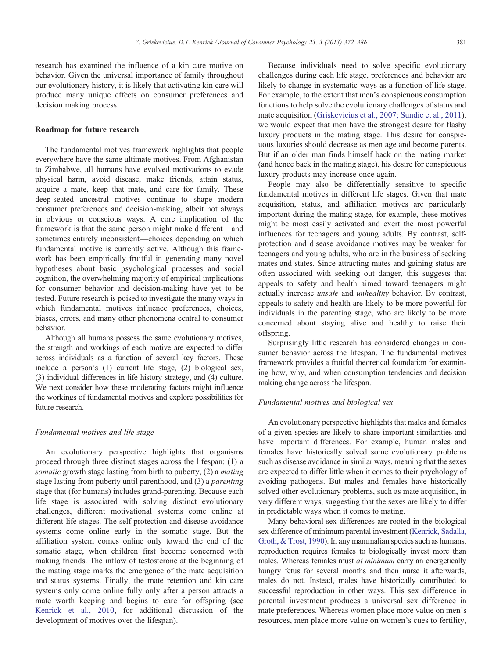research has examined the influence of a kin care motive on behavior. Given the universal importance of family throughout our evolutionary history, it is likely that activating kin care will produce many unique effects on consumer preferences and decision making process.

#### Roadmap for future research

The fundamental motives framework highlights that people everywhere have the same ultimate motives. From Afghanistan to Zimbabwe, all humans have evolved motivations to evade physical harm, avoid disease, make friends, attain status, acquire a mate, keep that mate, and care for family. These deep-seated ancestral motives continue to shape modern consumer preferences and decision-making, albeit not always in obvious or conscious ways. A core implication of the framework is that the same person might make different—and sometimes entirely inconsistent—choices depending on which fundamental motive is currently active. Although this framework has been empirically fruitful in generating many novel hypotheses about basic psychological processes and social cognition, the overwhelming majority of empirical implications for consumer behavior and decision-making have yet to be tested. Future research is poised to investigate the many ways in which fundamental motives influence preferences, choices, biases, errors, and many other phenomena central to consumer behavior.

Although all humans possess the same evolutionary motives, the strength and workings of each motive are expected to differ across individuals as a function of several key factors. These include a person's (1) current life stage, (2) biological sex, (3) individual differences in life history strategy, and (4) culture. We next consider how these moderating factors might influence the workings of fundamental motives and explore possibilities for future research.

#### Fundamental motives and life stage

An evolutionary perspective highlights that organisms proceed through three distinct stages across the lifespan: (1) a somatic growth stage lasting from birth to puberty, (2) a mating stage lasting from puberty until parenthood, and (3) a parenting stage that (for humans) includes grand-parenting. Because each life stage is associated with solving distinct evolutionary challenges, different motivational systems come online at different life stages. The self-protection and disease avoidance systems come online early in the somatic stage. But the affiliation system comes online only toward the end of the somatic stage, when children first become concerned with making friends. The inflow of testosterone at the beginning of the mating stage marks the emergence of the mate acquisition and status systems. Finally, the mate retention and kin care systems only come online fully only after a person attracts a mate worth keeping and begins to care for offspring (see [Kenrick et al., 2010,](#page-12-0) for additional discussion of the development of motives over the lifespan).

Because individuals need to solve specific evolutionary challenges during each life stage, preferences and behavior are likely to change in systematic ways as a function of life stage. For example, to the extent that men's conspicuous consumption functions to help solve the evolutionary challenges of status and mate acquisition ([Griskevicius et al., 2007; Sundie et al., 2011\)](#page-12-0), we would expect that men have the strongest desire for flashy luxury products in the mating stage. This desire for conspicuous luxuries should decrease as men age and become parents. But if an older man finds himself back on the mating market (and hence back in the mating stage), his desire for conspicuous luxury products may increase once again.

People may also be differentially sensitive to specific fundamental motives in different life stages. Given that mate acquisition, status, and affiliation motives are particularly important during the mating stage, for example, these motives might be most easily activated and exert the most powerful influences for teenagers and young adults. By contrast, selfprotection and disease avoidance motives may be weaker for teenagers and young adults, who are in the business of seeking mates and states. Since attracting mates and gaining status are often associated with seeking out danger, this suggests that appeals to safety and health aimed toward teenagers might actually increase unsafe and unhealthy behavior. By contrast, appeals to safety and health are likely to be more powerful for individuals in the parenting stage, who are likely to be more concerned about staying alive and healthy to raise their offspring.

Surprisingly little research has considered changes in consumer behavior across the lifespan. The fundamental motives framework provides a fruitful theoretical foundation for examining how, why, and when consumption tendencies and decision making change across the lifespan.

## Fundamental motives and biological sex

An evolutionary perspective highlights that males and females of a given species are likely to share important similarities and have important differences. For example, human males and females have historically solved some evolutionary problems such as disease avoidance in similar ways, meaning that the sexes are expected to differ little when it comes to their psychology of avoiding pathogens. But males and females have historically solved other evolutionary problems, such as mate acquisition, in very different ways, suggesting that the sexes are likely to differ in predictable ways when it comes to mating.

Many behavioral sex differences are rooted in the biological sex difference of minimum parental investment ([Kenrick, Sadalla,](#page-12-0) [Groth, & Trost, 1990](#page-12-0)). In any mammalian species such as humans, reproduction requires females to biologically invest more than males. Whereas females must *at minimum* carry an energetically hungry fetus for several months and then nurse it afterwards, males do not. Instead, males have historically contributed to successful reproduction in other ways. This sex difference in parental investment produces a universal sex difference in mate preferences. Whereas women place more value on men's resources, men place more value on women's cues to fertility,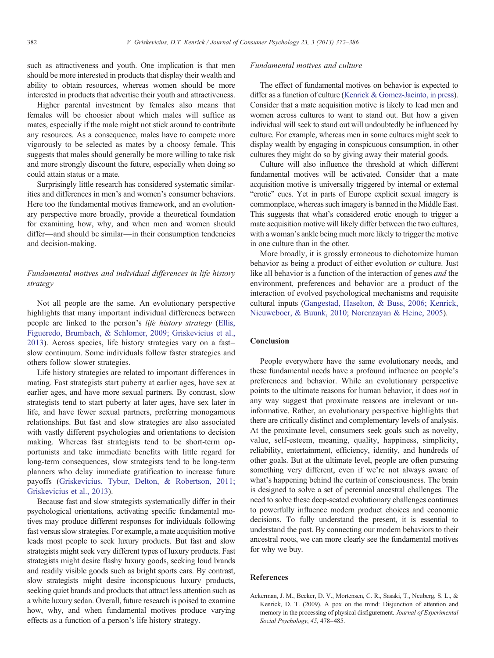<span id="page-10-0"></span>such as attractiveness and youth. One implication is that men should be more interested in products that display their wealth and ability to obtain resources, whereas women should be more interested in products that advertise their youth and attractiveness.

Higher parental investment by females also means that females will be choosier about which males will suffice as mates, especially if the male might not stick around to contribute any resources. As a consequence, males have to compete more vigorously to be selected as mates by a choosy female. This suggests that males should generally be more willing to take risk and more strongly discount the future, especially when doing so could attain status or a mate.

Surprisingly little research has considered systematic similarities and differences in men's and women's consumer behaviors. Here too the fundamental motives framework, and an evolutionary perspective more broadly, provide a theoretical foundation for examining how, why, and when men and women should differ—and should be similar—in their consumption tendencies and decision-making.

## Fundamental motives and individual differences in life history strategy

Not all people are the same. An evolutionary perspective highlights that many important individual differences between people are linked to the person's life history strategy [\(Ellis,](#page-11-0) [Figueredo, Brumbach, & Schlomer, 2009; Griskevicius et al.,](#page-11-0) [2013\)](#page-11-0). Across species, life history strategies vary on a fast– slow continuum. Some individuals follow faster strategies and others follow slower strategies.

Life history strategies are related to important differences in mating. Fast strategists start puberty at earlier ages, have sex at earlier ages, and have more sexual partners. By contrast, slow strategists tend to start puberty at later ages, have sex later in life, and have fewer sexual partners, preferring monogamous relationships. But fast and slow strategies are also associated with vastly different psychologies and orientations to decision making. Whereas fast strategists tend to be short-term opportunists and take immediate benefits with little regard for long-term consequences, slow strategists tend to be long-term planners who delay immediate gratification to increase future payoffs ([Griskevicius, Tybur, Delton, & Robertson, 2011;](#page-12-0) [Griskevicius et al., 2013\)](#page-12-0).

Because fast and slow strategists systematically differ in their psychological orientations, activating specific fundamental motives may produce different responses for individuals following fast versus slow strategies. For example, a mate acquisition motive leads most people to seek luxury products. But fast and slow strategists might seek very different types of luxury products. Fast strategists might desire flashy luxury goods, seeking loud brands and readily visible goods such as bright sports cars. By contrast, slow strategists might desire inconspicuous luxury products, seeking quiet brands and products that attract less attention such as a white luxury sedan. Overall, future research is poised to examine how, why, and when fundamental motives produce varying effects as a function of a person's life history strategy.

#### Fundamental motives and culture

The effect of fundamental motives on behavior is expected to differ as a function of culture [\(Kenrick & Gomez-Jacinto, in press](#page-12-0)). Consider that a mate acquisition motive is likely to lead men and women across cultures to want to stand out. But how a given individual will seek to stand out will undoubtedly be influenced by culture. For example, whereas men in some cultures might seek to display wealth by engaging in conspicuous consumption, in other cultures they might do so by giving away their material goods.

Culture will also influence the threshold at which different fundamental motives will be activated. Consider that a mate acquisition motive is universally triggered by internal or external "erotic" cues. Yet in parts of Europe explicit sexual imagery is commonplace, whereas such imagery is banned in the Middle East. This suggests that what's considered erotic enough to trigger a mate acquisition motive will likely differ between the two cultures, with a woman's ankle being much more likely to trigger the motive in one culture than in the other.

More broadly, it is grossly erroneous to dichotomize human behavior as being a product of either evolution or culture. Just like all behavior is a function of the interaction of genes *and* the environment, preferences and behavior are a product of the interaction of evolved psychological mechanisms and requisite cultural inputs [\(Gangestad, Haselton, & Buss, 2006; Kenrick,](#page-11-0) [Nieuweboer, & Buunk, 2010; Norenzayan & Heine, 2005\)](#page-11-0).

## Conclusion

People everywhere have the same evolutionary needs, and these fundamental needs have a profound influence on people's preferences and behavior. While an evolutionary perspective points to the ultimate reasons for human behavior, it does not in any way suggest that proximate reasons are irrelevant or uninformative. Rather, an evolutionary perspective highlights that there are critically distinct and complementary levels of analysis. At the proximate level, consumers seek goals such as novelty, value, self-esteem, meaning, quality, happiness, simplicity, reliability, entertainment, efficiency, identity, and hundreds of other goals. But at the ultimate level, people are often pursuing something very different, even if we're not always aware of what's happening behind the curtain of consciousness. The brain is designed to solve a set of perennial ancestral challenges. The need to solve these deep-seated evolutionary challenges continues to powerfully influence modern product choices and economic decisions. To fully understand the present, it is essential to understand the past. By connecting our modern behaviors to their ancestral roots, we can more clearly see the fundamental motives for why we buy.

### **References**

Ackerman, J. M., Becker, D. V., Mortensen, C. R., Sasaki, T., Neuberg, S. L., & Kenrick, D. T. (2009). A pox on the mind: Disjunction of attention and memory in the processing of physical disfigurement. Journal of Experimental Social Psychology, 45, 478–485.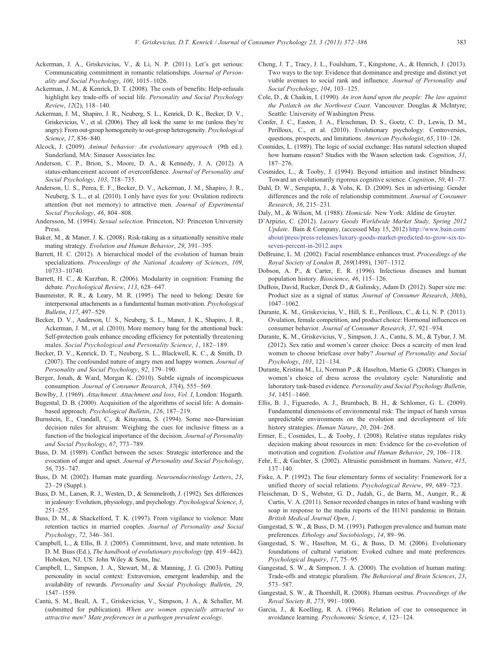- <span id="page-11-0"></span>Ackerman, J. A., Griskevicius, V., & Li, N. P. (2011). Let's get serious: Communicating commitment in romantic relationships. Journal of Personality and Social Psychology, 100, 1015–1026.
- Ackerman, J. M., & Kenrick, D. T. (2008). The costs of benefits: Help-refusals highlight key trade-offs of social life. Personality and Social Psychology Review, 12(2), 118–140.
- Ackerman, J. M., Shapiro, J. R., Neuberg, S. L., Kenrick, D. K., Becker, D. V., Griskevicius, V., et al. (2006). They all look the same to me (unless they're angry): From out-group homogeneity to out-group heterogeneity. Psychological Science, 17, 836–840.
- Alcock, J. (2009). Animal behavior: An evolutionary approach (9th ed.). Sunderland, MA: Sinauer Associates Inc.
- Anderson, C. P., Brion, S., Moore, D. A., & Kennedy, J. A. (2012). A status-enhancement account of overconfidence. Journal of Personality and Social Psychology, 103, 718–735.
- Anderson, U. S., Perea, E. F., Becker, D. V., Ackerman, J. M., Shapiro, J. R., Neuberg, S. L., et al. (2010). I only have eyes for you: Ovulation redirects attention (but not memory) to attractive men. Journal of Experimental Social Psychology, 46, 804–808.
- Andersson, M. (1994). Sexual selection. Princeton, NJ: Princeton University Press.
- Baker, M., & Maner, J. K. (2008). Risk-taking as a situationally sensitive male mating strategy. Evolution and Human Behavior, 29, 391–395.
- Barrett, H. C. (2012). A hierarchical model of the evolution of human brain specializations. Proceedings of the National Academy of Sciences, 109, 10733–10740.
- Barrett, H. C., & Kurzban, R. (2006). Modularity in cognition: Framing the debate. Psychological Review, 113, 628–647.
- Baumeister, R. R., & Leary, M. R. (1995). The need to belong: Desire for interpersonal attachments as a fundamental human motivation. Psychological Bulletin, 117, 497–529.
- Becker, D. V., Anderson, U. S., Neuberg, S. L., Maner, J. K., Shapiro, J. R., Ackerman, J. M., et al. (2010). More memory bang for the attentional buck: Self-protection goals enhance encoding efficiency for potentially threatening males. Social Psychological and Personality Science, 1, 182–189.
- Becker, D. V., Kenrick, D. T., Neuberg, S. L., Blackwell, K. C., & Smith, D. (2007). The confounded nature of angry men and happy women. Journal of Personality and Social Psychology, 92, 179–190.
- Berger, Jonah, & Ward, Morgan K. (2010). Subtle signals of inconspicuous consumption. Journal of Consumer Research, 37(4), 555–569.
- Bowlby, J. (1969). Attachment. Attachment and loss, Vol. I, London: Hogarth.
- Bugental, D. B. (2000). Acquisition of the algorithms of social life: A domainbased approach. Psychological Bulletin, 126, 187–219.
- Burnstein, E., Crandall, C., & Kitayama, S. (1994). Some neo-Darwinian decision rules for altruism: Weighing the cues for inclusive fitness as a function of the biological importance of the decision. Journal of Personality and Social Psychology, 67, 773–789.
- Buss, D. M. (1989). Conflict between the sexes: Strategic interference and the evocation of anger and upset. Journal of Personality and Social Psychology, 56, 735–747.
- Buss, D. M. (2002). Human mate guarding. Neuroendocrinology Letters, 23, 23–29 (Suppl.).
- Buss, D. M., Larsen, R. J., Westen, D., & Semmelroth, J. (1992). Sex differences in jealousy: Evolution, physiology, and psychology. Psychological Science, 3, 251–255.
- Buss, D. M., & Shackelford, T. K. (1997). From vigilance to violence: Mate retention tactics in married couples. Journal of Personality and Social Psychology, 72, 346–361.
- Campbell, L., & Ellis, B. J. (2005). Commitment, love, and mate retention. In D. M. Buss (Ed.), The handbook of evolutionary psychology (pp. 419–442). Hoboken, NJ, US: John Wiley & Sons, Inc.
- Campbell, L., Simpson, J. A., Stewart, M., & Manning, J. G. (2003). Putting personality in social context: Extraversion, emergent leadership, and the availability of rewards. Personality and Social Psychology Bulletin, 29, 1547–1559.
- Cantú, S. M., Beall, A. T., Griskevicius, V., Simpson, J. A., & Schaller, M. (submitted for publication). When are women especially attracted to attractive men? Mate preferences in a pathogen prevalent ecology.
- Cheng, J. T., Tracy, J. L., Foulsham, T., Kingstone, A., & Henrich, J. (2013). Two ways to the top: Evidence that dominance and prestige and distinct yet viable avenues to social rank and influence. Journal of Personality and Social Psychology, 104, 103–125.
- Cole, D., & Chaikin, I. (1990). An iron hand upon the people: The law against the Potlatch on the Northwest Coast. Vancouver: Douglas & McIntyre; Seattle: University of Washington Press.
- Confer, J. C., Easton, J. A., Fleischman, D. S., Goetz, C. D., Lewis, D. M., Perilloux, C., et al. (2010). Evolutionary psychology: Controversies, questions, prospects, and limitations. American Psychologist, 65, 110–126.
- Cosmides, L. (1989). The logic of social exchange: Has natural selection shaped how humans reason? Studies with the Wason selection task. Cognition, 31, 187–276.
- Cosmides, L., & Tooby, J. (1994). Beyond intuition and instinct blindness: Toward an evolutionarily rigorous cognitive science. Cognition, 50, 41–77.
- Dahl, D. W., Sengupta, J., & Vohs, K. D. (2009). Sex in advertising: Gender differences and the role of relationship commitment. Journal of Consumer Research, 36, 215–231.
- Daly, M., & Wilson, M. (1988). Homicide. New York: Aldine de Gruyter.
- D'Arpizio, C. (2012). Luxury Goods Worldwide Market Study, Spring 2012 Update. Bain & Company, (accessed May 15, 2012) [http://www.bain.com/](http://www.bain.com/about/press/press-releases/luxury-goods-market-predicted-to-grow-six-to-seven-percent-in-2012.aspx) [about/press/press-releases/luxury-goods-market-predicted-to-grow-six-to](http://www.bain.com/about/press/press-releases/luxury-goods-market-predicted-to-grow-six-to-seven-percent-in-2012.aspx)[seven-percent-in-2012.aspx](http://www.bain.com/about/press/press-releases/luxury-goods-market-predicted-to-grow-six-to-seven-percent-in-2012.aspx)
- DeBruine, L. M. (2002). Facial resemblance enhances trust. Proceedings of the Royal Society of London B, 269(1498), 1307–1312.
- Dobson, A. P., & Carter, E. R. (1996). Infectious diseases and human population history. Bioscience, 46, 115–126.
- DuBois, David, Rucker, Derek D., & Galinsky, Adam D. (2012). Super size me: Product size as a signal of status. Journal of Consumer Research, 38(6), 1047–1062.
- Durante, K. M., Griskevicius, V., Hill, S. E., Perilloux, C., & Li, N. P. (2011). Ovulation, female competition, and product choice: Hormonal influences on consumer behavior. Journal of Consumer Research, 37, 921–934.
- Durante, K. M., Griskevicius, V., Simpson, J. A., Cantu, S. M., & Tybur, J. M. (2012). Sex ratio and women's career choice: Does a scarcity of men lead women to choose briefcase over baby? Journal of Personality and Social Psychology, 103, 121–134.
- Durante, Kristina M., Li, Norman P., & Haselton, Martie G. (2008). Changes in women's choice of dress across the ovulatory cycle: Naturalistic and laboratory task-based evidence. Personality and Social Psychology Bulletin, 34, 1451–1460.
- Ellis, B. J., Figueredo, A. J., Brumbach, B. H., & Schlomer, G. L. (2009). Fundamental dimensions of environmental risk: The impact of harsh versus unpredictable environments on the evolution and development of life history strategies. Human Nature, 20, 204–268.
- Ermer, E., Cosmides, L., & Tooby, J. (2008). Relative status regulates risky decision making about resources in men: Evidence for the co-evolution of motivation and cognition. Evolution and Human Behavior, 29, 106–118.
- Fehr, E., & Gachter, S. (2002). Altruistic punishment in humans. Nature, 415, 137–140.
- Fiske, A. P. (1992). The four elementary forms of sociality: Framework for a unified theory of social relations. Psychological Review, 99, 689–723.
- Fleischman, D. S., Webster, G. D., Judah, G., de Barra, M., Aunger, R., & Curtis, V. A. (2011). Sensor recorded changes in rates of hand washing with soap in response to the media reports of the H1N1 pandemic in Britain. British Medical Journal Open, 1.
- Gangestad, S. W., & Buss, D. M. (1993). Pathogen prevalence and human mate preferences. Ethology and Sociobiology, 14, 89–96.
- Gangestad, S. W., Haselton, M. G., & Buss, D. M. (2006). Evolutionary foundations of cultural variation: Evoked culture and mate preferences. Psychological Inquiry, 17, 75–95.
- Gangestad, S. W., & Simpson, J. A. (2000). The evolution of human mating: Trade-offs and strategic pluralism. The Behavioral and Brain Sciences, 23, 573–587.
- Gangestad, S. W., & Thornhill, R. (2008). Human oestrus. Proceedings of the Royal Society B, 275, 991–1000.
- Garcia, J., & Koelling, R. A. (1966). Relation of cue to consequence in avoidance learning. Psychonomic Science, 4, 123–124.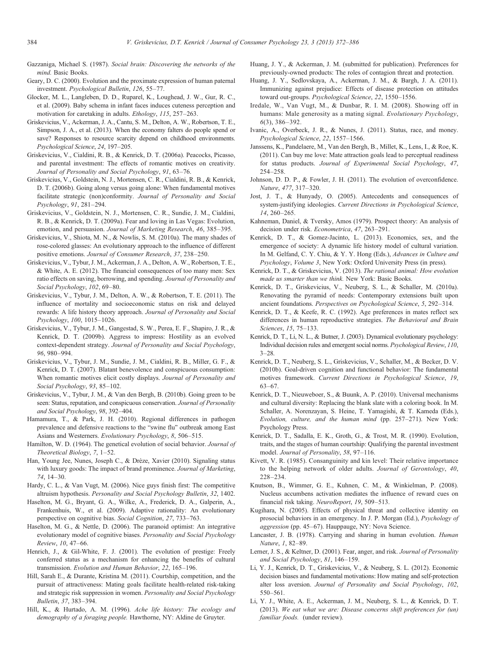- <span id="page-12-0"></span>Gazzaniga, Michael S. (1987). Social brain: Discovering the networks of the mind. Basic Books.
- Geary, D. C. (2000). Evolution and the proximate expression of human paternal investment. Psychological Bulletin, 126, 55–77.
- Glocker, M. L., Langleben, D. D., Ruparel, K., Loughead, J. W., Gur, R. C., et al. (2009). Baby schema in infant faces induces cuteness perception and motivation for caretaking in adults. Ethology, 115, 257–263.
- Griskevicius, V., Ackerman, J. A., Cantu, S. M., Delton, A. W., Robertson, T. E., Simpson, J. A., et al. (2013). When the economy falters do people spend or save? Responses to resource scarcity depend on childhood environments. Psychological Science, 24, 197–205.
- Griskevicius, V., Cialdini, R. B., & Kenrick, D. T. (2006a). Peacocks, Picasso, and parental investment: The effects of romantic motives on creativity. Journal of Personality and Social Psychology, 91, 63–76.
- Griskevicius, V., Goldstein, N. J., Mortensen, C. R., Cialdini, R. B., & Kenrick, D. T. (2006b). Going along versus going alone: When fundamental motives facilitate strategic (non)conformity. Journal of Personality and Social Psychology, 91, 281–294.
- Griskevicius, V., Goldstein, N. J., Mortensen, C. R., Sundie, J. M., Cialdini, R. B., & Kenrick, D. T. (2009a). Fear and loving in Las Vegas: Evolution, emotion, and persuasion. Journal of Marketing Research, 46, 385–395.
- Griskevicius, V., Shiota, M. N., & Nowlis, S. M. (2010a). The many shades of rose-colored glasses: An evolutionary approach to the influence of different positive emotions. Journal of Consumer Research, 37, 238–250.
- Griskevicius, V., Tybur, J. M., Ackerman, J. A., Delton, A. W., Robertson, T. E., & White, A. E. (2012). The financial consequences of too many men: Sex ratio effects on saving, borrowing, and spending. Journal of Personality and Social Psychology, 102, 69–80.
- Griskevicius, V., Tybur, J. M., Delton, A. W., & Robertson, T. E. (2011). The influence of mortality and socioeconomic status on risk and delayed rewards: A life history theory approach. Journal of Personality and Social Psychology, 100, 1015–1026.
- Griskevicius, V., Tybur, J. M., Gangestad, S. W., Perea, E. F., Shapiro, J. R., & Kenrick, D. T. (2009b). Aggress to impress: Hostility as an evolved context-dependent strategy. Journal of Personality and Social Psychology, 96, 980–994.
- Griskevicius, V., Tybur, J. M., Sundie, J. M., Cialdini, R. B., Miller, G. F., & Kenrick, D. T. (2007). Blatant benevolence and conspicuous consumption: When romantic motives elicit costly displays. Journal of Personality and Social Psychology, 93, 85–102.
- Griskevicius, V., Tybur, J. M., & Van den Bergh, B. (2010b). Going green to be seen: Status, reputation, and conspicuous conservation. Journal of Personality and Social Psychology, 98, 392–404.
- Hamamura, T., & Park, J. H. (2010). Regional differences in pathogen prevalence and defensive reactions to the "swine flu" outbreak among East Asians and Westerners. Evolutionary Psychology, 8, 506–515.
- Hamilton, W. D. (1964). The genetical evolution of social behavior. Journal of Theoretical Biology, 7, 1–52.
- Han, Young Jee, Nunes, Joseph C., & Drèze, Xavier (2010). Signaling status with luxury goods: The impact of brand prominence. Journal of Marketing, 74, 14–30.
- Hardy, C. L., & Van Vugt, M. (2006). Nice guys finish first: The competitive altruism hypothesis. Personality and Social Psychology Bulletin, 32, 1402.
- Haselton, M. G., Bryant, G. A., Wilke, A., Frederick, D. A., Galperin, A., Frankenhuis, W., et al. (2009). Adaptive rationality: An evolutionary perspective on cognitive bias. Social Cognition, 27, 733–763.
- Haselton, M. G., & Nettle, D. (2006). The paranoid optimist: An integrative evolutionary model of cognitive biases. Personality and Social Psychology Review, 10, 47–66.
- Henrich, J., & Gil-White, F. J. (2001). The evolution of prestige: Freely conferred status as a mechanism for enhancing the benefits of cultural transmission. Evolution and Human Behavior, 22, 165–196.
- Hill, Sarah E., & Durante, Kristina M. (2011). Courtship, competition, and the pursuit of attractiveness: Mating goals facilitate health-related risk-taking and strategic risk suppression in women. Personality and Social Psychology Bulletin, 37, 383–394.
- Hill, K., & Hurtado, A. M. (1996). Ache life history: The ecology and demography of a foraging people. Hawthorne, NY: Aldine de Gruyter.
- Huang, J. Y., & Ackerman, J. M. (submitted for publication). Preferences for previously-owned products: The roles of contagion threat and protection.
- Huang, J. Y., Sedlovskaya, A., Ackerman, J. M., & Bargh, J. A. (2011). Immunizing against prejudice: Effects of disease protection on attitudes toward out-groups. Psychological Science, 22, 1550–1556.
- Iredale, W., Van Vugt, M., & Dunbar, R. I. M. (2008). Showing off in humans: Male generosity as a mating signal. Evolutionary Psychology, 6(3), 386–392.
- Ivanic, A., Overbeck, J. R., & Nunes, J. (2011). Status, race, and money. Psychological Science, 22, 1557–1566.
- Janssens, K., Pandelaere, M., Van den Bergh, B., Millet, K., Lens, I., & Roe, K. (2011). Can buy me love: Mate attraction goals lead to perceptual readiness for status products. Journal of Experimental Social Psychology, 47, 254–258.
- Johnson, D. D. P., & Fowler, J. H. (2011). The evolution of overconfidence. Nature, 477, 317–320.
- Jost, J. T., & Hunyady, O. (2005). Antecedents and consequences of system-justifying ideologies. Current Directions in Psychological Science, 14, 260–265.
- Kahneman, Daniel, & Tversky, Amos (1979). Prospect theory: An analysis of decision under risk. Econometrica, 47, 263–291.
- Kenrick, D. T., & Gomez-Jacinto, L. (2013). Economics, sex, and the emergence of society: A dynamic life history model of cultural variation. In M. Gelfand, C. Y. Chiu, & Y. Y. Hong (Eds.), Advances in Culture and Psychology, Volume 3, New York: Oxford University Press (in press).
- Kenrick, D. T., & Griskevicius, V. (2013). The rational animal: How evolution made us smarter than we think. New York: Basic Books.
- Kenrick, D. T., Griskevicius, V., Neuberg, S. L., & Schaller, M. (2010a). Renovating the pyramid of needs: Contemporary extensions built upon ancient foundations. Perspectives on Psychological Science, 5, 292–314.
- Kenrick, D. T., & Keefe, R. C. (1992). Age preferences in mates reflect sex differences in human reproductive strategies. The Behavioral and Brain Sciences, 15, 75–133.
- Kenrick, D. T., Li, N. L., & Butner, J. (2003). Dynamical evolutionary psychology: Individual decision rules and emergent social norms. Psychological Review, 110,  $3 - 28$
- Kenrick, D. T., Neuberg, S. L., Griskevicius, V., Schaller, M., & Becker, D. V. (2010b). Goal-driven cognition and functional behavior: The fundamental motives framework. Current Directions in Psychological Science, 19, 63–67.
- Kenrick, D. T., Nieuweboer, S., & Buunk, A. P. (2010). Universal mechanisms and cultural diversity: Replacing the blank slate with a coloring book. In M. Schaller, A. Norenzayan, S. Heine, T. Yamagishi, & T. Kameda (Eds.), Evolution, culture, and the human mind (pp. 257–271). New York: Psychology Press.
- Kenrick, D. T., Sadalla, E. K., Groth, G., & Trost, M. R. (1990). Evolution, traits, and the stages of human courtship: Qualifying the parental investment model. Journal of Personality, 58, 97–116.
- Kivett, V. R. (1985). Consanguinity and kin level: Their relative importance to the helping network of older adults. Journal of Gerontology, 40, 228–234.
- Knutson, B., Wimmer, G. E., Kuhnen, C. M., & Winkielman, P. (2008). Nucleus accumbens activation mediates the influence of reward cues on financial risk taking. NeuroReport, 19, 509–513.
- Kugihara, N. (2005). Effects of physical threat and collective identity on prosocial behaviors in an emergency. In J. P. Morgan (Ed.), Psychology of aggression (pp. 45–67). Hauppauge, NY: Nova Science.
- Lancaster, J. B. (1978). Carrying and sharing in human evolution. Human Nature, 1, 82–89.
- Lerner, J. S., & Keltner, D. (2001). Fear, anger, and risk. Journal of Personality and Social Psychology, 81, 146–159.
- Li, Y. J., Kenrick, D. T., Griskevicius, V., & Neuberg, S. L. (2012). Economic decision biases and fundamental motivations: How mating and self-protection alter loss aversion. Journal of Personality and Social Psychology, 102, 550–561.
- Li, Y. J., White, A. E., Ackerman, J. M., Neuberg, S. L., & Kenrick, D. T. (2013). We eat what we are: Disease concerns shift preferences for (un) familiar foods. (under review).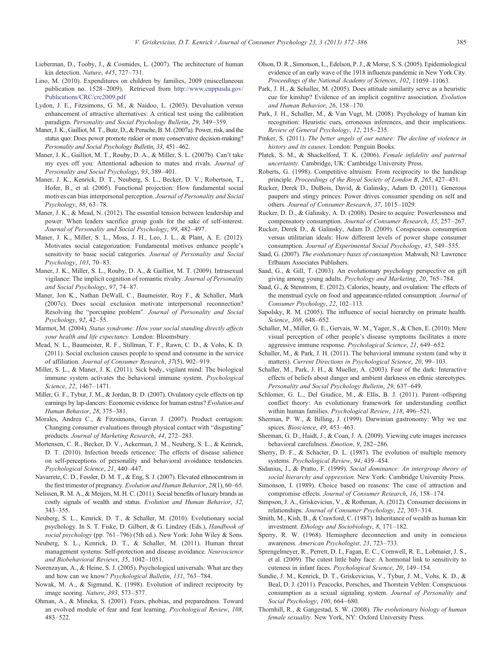- <span id="page-13-0"></span>Lieberman, D., Tooby, J., & Cosmides, L. (2007). The architecture of human kin detection. Nature, 445, 727–731.
- Lino, M. (2010). Expenditures on children by families, 2009 (miscellaneous publication no. 1528–2009). Retrieved from [http://www.cnppusda.gov/](http://www.cnppusda.gov/Publications/CRC/crc2009.pdf) [Publications/CRC/crc2009.pdf](http://www.cnppusda.gov/Publications/CRC/crc2009.pdf)
- Lydon, J. E., Fitzsimons, G. M., & Naidoo, L. (2003). Devaluation versus enhancement of attractive alternatives: A critical test using the calibration paradigm. Personality and Social Psychology Bulletin, 29, 349–359.
- Maner, J. K., Gailliot, M. T., Butz, D., & Peruche, B. M. (2007a). Power, risk, and the status quo: Does power promote riskier or more conservative decision-making? Personality and Social Psychology Bulletin, 33, 451–462.
- Maner, J. K., Gailliot, M. T., Rouby, D. A., & Miller, S. L. (2007b). Can't take my eyes off you: Attentional adhesion to mates and rivals. Journal of Personality and Social Psychology, 93, 389–401.
- Maner, J. K., Kenrick, D. T., Neuberg, S. L., Becker, D. V., Robertson, T., Hofer, B., et al. (2005). Functional projection: How fundamental social motives can bias interpersonal perception. Journal of Personality and Social Psychology, 88, 63–78.
- Maner, J. K., & Mead, N. (2012). The essential tension between leadership and power: When leaders sacrifice group goals for the sake of self-interest. Journal of Personality and Social Psychology, 99, 482–497.
- Maner, J. K., Miller, S. L., Moss, J. H., Leo, J. L., & Plant, A. E. (2012). Motivates social categorization: Fundamental motives enhance people's sensitivity to basic social categories. Journal of Personality and Social Psychology, 103, 70–83.
- Maner, J. K., Miller, S. L., Rouby, D. A., & Gailliot, M. T. (2009). Intrasexual vigilance: The implicit cognition of romantic rivalry. Journal of Personality and Social Psychology, 97, 74–87.
- Maner, Jon K., Nathan DeWall, C., Baumeister, Roy F., & Schaller, Mark (2007c). Does social exclusion motivate interpersonal reconnection? Resolving the "porcupine problem". Journal of Personality and Social Psychology, 92, 42–55.
- Marmot, M. (2004). Status syndrome: How your social standing directly affects your health and life expectancy. London: Bloomsbury.
- Mead, N. L., Baumeister, R. F., Stillman, T. F., Rawn, C. D., & Vohs, K. D. (2011). Social exclusion causes people to spend and consume in the service of affiliation. Journal of Consumer Research, 37(5), 902–919.
- Miller, S. L., & Maner, J. K. (2011). Sick body, vigilant mind: The biological immune system activates the behavioral immune system. Psychological Science, 22, 1467–1471.
- Miller, G. F., Tybur, J. M., & Jordan, B. D. (2007). Ovulatory cycle effects on tip earnings by lap-dancers: Economic evidence for human estrus? Evolution and Human Behavior, 28, 375–381.
- Morales, Andrea C., & Fitzsimons, Gavan J. (2007). Product contagion: Changing consumer evaluations through physical contact with "disgusting" products. Journal of Marketing Research, 44, 272–283.
- Mortensen, C. R., Becker, D. V., Ackerman, J. M., Neuberg, S. L., & Kenrick, D. T. (2010). Infection breeds reticence: The effects of disease salience on self-perceptions of personality and behavioral avoidance tendencies. Psychological Science, 21, 440–447.
- Navarrete, C. D., Fessler, D. M. T., & Eng, S. J. (2007). Elevated ethnocentrism in the first trimester of pregnancy. Evolution and Human Behavior, 28(1), 60-65.
- Nelissen, R. M. A., & Meijers, M. H. C. (2011). Social benefits of luxury brands as costly signals of wealth and status. Evolution and Human Behavior, 32, 343–355.
- Neuberg, S. L., Kenrick, D. T., & Schaller, M. (2010). Evolutionary social psychology. In S. T. Fiske, D. Gilbert, & G. Lindzey (Eds.), Handbook of social psychology (pp. 761–796) (5th ed.). New York: John Wiley & Sons.
- Neuberg, S. L., Kenrick, D. T., & Schaller, M. (2011). Human threat management systems: Self-protection and disease avoidance. Neuroscience and Biobehavioral Reviews, 35, 1042–1051.
- Norenzayan, A., & Heine, S. J. (2005). Psychological universals: What are they and how can we know? Psychological Bulletin, 131, 763–784.
- Nowak, M. A., & Sigmund, K. (1998). Evolution of indirect reciprocity by image scoring. Nature, 393, 573–577.
- Ohman, A., & Mineka, S. (2001). Fears, phobias, and preparedness. Toward an evolved module of fear and fear learning. Psychological Review, 108, 483–522.
- Olson, D. R., Simonson, L., Edelson, P. J., & Morse, S. S. (2005). Epidemiological evidence of an early wave of the 1918 influenza pandemic in New York City. Proceedings of the National Academy of Sciences, 102, 11059–11063.
- Park, J. H., & Schaller, M. (2005). Does attitude similarity serve as a heuristic cue for kinship? Evidence of an implicit cognitive association. Evolution and Human Behavior, 26, 158–170.
- Park, J. H., Schaller, M., & Van Vugt, M. (2008). Psychology of human kin recognition: Heuristic cues, erroneous inferences, and their implications. Review of General Psychology, 12, 215–235.
- Pinker, S. (2011). The better angels of our nature: The decline of violence in history and its causes. London: Penguin Books.
- Platek, S. M., & Shackelford, T. K. (2006). Female infidelity and paternal uncertainty. Cambridge, UK: Cambridge University Press.
- Roberts, G. (1998). Competitive altruism: From reciprocity to the handicap principle. Proceedings of the Royal Society of London B, 265, 427–431.
- Rucker, Derek D., DuBois, David, & Galinsky, Adam D. (2011). Generous paupers and stingy princes: Power drives consumer spending on self and others. Journal of Consumer Research, 37, 1015–1029.
- Rucker, D. D., & Galinsky, A. D. (2008). Desire to acquire: Powerlessness and compensatory consumption. Journal of Consumer Research, 35, 257–267.
- Rucker, Derek D., & Galinsky, Adam D. (2009). Conspicuous consumption versus utilitarian ideals: How different levels of power shape consumer consumption. Journal of Experimental Social Psychology, 45, 549–555.
- Saad, G. (2007). The evolutionary bases of consumption. Mahwah, NJ: Lawrence Erlbaum Associates Publishers.
- Saad, G., & Gill, T. (2003). An evolutionary psychology perspective on gift giving among young adults. Psychology and Marketing, 20, 765–784.
- Saad, G., & Stenstrom, E. (2012). Calories, beauty, and ovulation: The effects of the menstrual cycle on food and appearance-related consumption. Journal of Consumer Psychology, 22, 102–113.
- Sapolsky, R. M. (2005). The influence of social hierarchy on primate health. Science, 308, 648–652.
- Schaller, M., Miller, G. E., Gervais, W. M., Yager, S., & Chen, E. (2010). Mere visual perception of other people's disease symptoms facilitates a more aggressive immune response. Psychological Science, 21, 649–652.
- Schaller, M., & Park, J. H. (2011). The behavioral immune system (and why it matters). Current Directions in Psychological Science, 20, 99–103.
- Schaller, M., Park, J. H., & Mueller, A. (2003). Fear of the dark: Interactive effects of beliefs about danger and ambient darkness on ethnic stereotypes. Personality and Social Psychology Bulletin, 29, 637–649.
- Schlomer, G. L., Del Giudice, M., & Ellis, B. J. (2011). Parent–offspring conflict theory: An evolutionary framework for understanding conflict within human families. Psychological Review, 118, 496–521.
- Sherman, P. W., & Billing, J. (1999). Darwinian gastronomy: Why we use spices. Bioscience, 49, 453–463.
- Sherman, G. D., Haidt, J., & Coan, J. A. (2009). Viewing cute images increases behavioral carefulness. Emotion, 9, 282–286.
- Sherry, D. F., & Schacter, D. L. (1987). The evolution of multiple memory systems. Psychological Review, 94, 439–454.
- Sidanius, J., & Pratto, F. (1999). Social dominance: An intergroup theory of social hierarchy and oppression. New York: Cambridge University Press.
- Simonson, I. (1989). Choice based on reasons: The case of attraction and compromise effects. Journal of Consumer Research, 16, 158–174.
- Simpson, J. A., Griskevicius, V., & Rothman, A. (2012). Consumer decisions in relationships. Journal of Consumer Psychology, 22, 303–314.
- Smith, M., Kish, B., & Crawford, C. (1987). Inheritance of wealth as human kin investment. Ethology and Sociobiology, 8, 171–182.
- Sperry, R. W. (1968). Hemisphere deconnection and unity in conscious awareness. American Psychologist, 23, 723–733.
- Sprengelmeyer, R., Perrett, D. I., Fagan, E. C., Cornwell, R. E., Lobmaier, J. S., et al. (2009). The cutest little baby face: A hormonal link to sensitivity to cuteness in infant faces. Psychological Science, 20, 149–154.
- Sundie, J. M., Kenrick, D. T., Griskevicius, V., Tybur, J. M., Vohs, K. D., & Beal, D. J. (2011). Peacocks, Porsches, and Thorstein Veblen: Conspicuous consumption as a sexual signaling system. Journal of Personality and Social Psychology, 100, 664–680.
- Thornhill, R., & Gangestad, S. W. (2008). The evolutionary biology of human female sexuality. New York, NY: Oxford University Press.